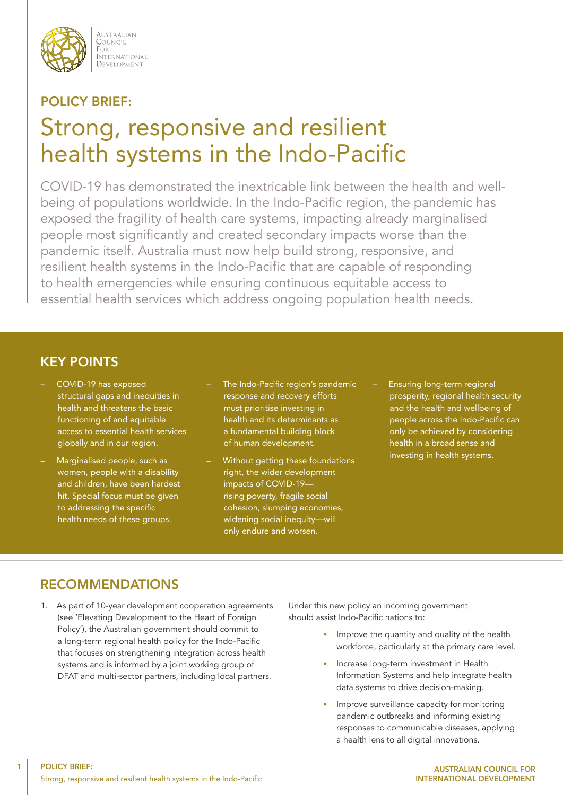

AUSTRALIAN COUNCIL FOR i ote<br>International DEVELOPMENT

# POLICY BRIEF:

# Strong, responsive and resilient health systems in the Indo-Pacific

COVID-19 has demonstrated the inextricable link between the health and wellbeing of populations worldwide. In the Indo-Pacific region, the pandemic has exposed the fragility of health care systems, impacting already marginalised people most significantly and created secondary impacts worse than the pandemic itself. Australia must now help build strong, responsive, and resilient health systems in the Indo-Pacific that are capable of responding to health emergencies while ensuring continuous equitable access to essential health services which address ongoing population health needs.

### KEY POINTS

- COVID-19 has exposed structural gaps and inequities in health and threatens the basic functioning of and equitable access to essential health services globally and in our region.
- Marginalised people, such as women, people with a disability and children, have been hardest hit. Special focus must be given to addressing the specific health needs of these groups.
- The Indo-Pacific region's pandemic response and recovery efforts must prioritise investing in health and its determinants as a fundamental building block of human development.
- Without getting these foundations right, the wider development impacts of COVID-19 rising poverty, fragile social cohesion, slumping economies, widening social inequity—will only endure and worsen.
- Ensuring long-term regional prosperity, regional health security and the health and wellbeing of people across the Indo-Pacific can only be achieved by considering health in a broad sense and investing in health systems.

# RECOMMENDATIONS

1

1. As part of 10-year development cooperation agreements (see 'Elevating Development to the Heart of Foreign Policy'), the Australian government should commit to a long-term regional health policy for the Indo-Pacific that focuses on strengthening integration across health systems and is informed by a joint working group of DFAT and multi-sector partners, including local partners.

Under this new policy an incoming government should assist Indo-Pacific nations to:

- Improve the quantity and quality of the health workforce, particularly at the primary care level.
- Increase long-term investment in Health Information Systems and help integrate health data systems to drive decision-making.
- Improve surveillance capacity for monitoring pandemic outbreaks and informing existing responses to communicable diseases, applying a health lens to all digital innovations.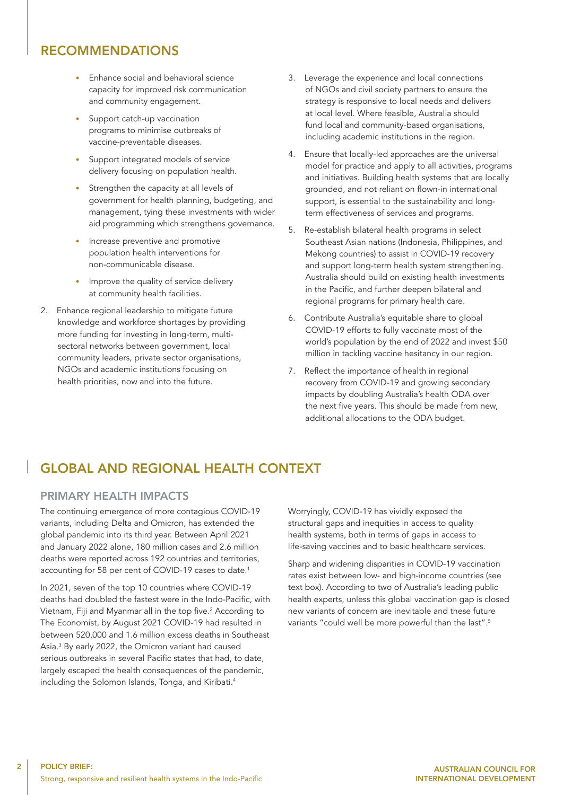### RECOMMENDATIONS

- Enhance social and behavioral science capacity for improved risk communication and community engagement.
- Support catch-up vaccination programs to minimise outbreaks of vaccine-preventable diseases.
- Support integrated models of service delivery focusing on population health.
- Strengthen the capacity at all levels of government for health planning, budgeting, and management, tying these investments with wider aid programming which strengthens governance.
- Increase preventive and promotive population health interventions for non-communicable disease.
- Improve the quality of service delivery at community health facilities.
- 2. Enhance regional leadership to mitigate future knowledge and workforce shortages by providing more funding for investing in long-term, multisectoral networks between government, local community leaders, private sector organisations, NGOs and academic institutions focusing on health priorities, now and into the future.
- 3. Leverage the experience and local connections of NGOs and civil society partners to ensure the strategy is responsive to local needs and delivers at local level. Where feasible, Australia should fund local and community-based organisations, including academic institutions in the region.
- 4. Ensure that locally-led approaches are the universal model for practice and apply to all activities, programs and initiatives. Building health systems that are locally grounded, and not reliant on flown-in international support, is essential to the sustainability and longterm effectiveness of services and programs.
- 5. Re-establish bilateral health programs in select Southeast Asian nations (Indonesia, Philippines, and Mekong countries) to assist in COVID-19 recovery and support long-term health system strengthening. Australia should build on existing health investments in the Pacific, and further deepen bilateral and regional programs for primary health care.
- 6. Contribute Australia's equitable share to global COVID-19 efforts to fully vaccinate most of the world's population by the end of 2022 and invest \$50 million in tackling vaccine hesitancy in our region.
- 7. Reflect the importance of health in regional recovery from COVID-19 and growing secondary impacts by doubling Australia's health ODA over the next five years. This should be made from new, additional allocations to the ODA budget.

# GLOBAL AND REGIONAL HEALTH CONTEXT

#### PRIMARY HEALTH IMPACTS

The continuing emergence of more contagious COVID-19 variants, including Delta and Omicron, has extended the global pandemic into its third year. Between April 2021 and January 2022 alone, 180 million cases and 2.6 million deaths were reported across 192 countries and territories, accounting for 58 per cent of COVID-19 cases to date.<sup>1</sup>

In 2021, seven of the top 10 countries where COVID-19 deaths had doubled the fastest were in the Indo-Pacific, with Vietnam, Fiji and Myanmar all in the top five.<sup>2</sup> According to The Economist, by August 2021 COVID-19 had resulted in between 520,000 and 1.6 million excess deaths in Southeast Asia.3 By early 2022, the Omicron variant had caused serious outbreaks in several Pacific states that had, to date, largely escaped the health consequences of the pandemic, including the Solomon Islands, Tonga, and Kiribati.<sup>4</sup>

Worryingly, COVID-19 has vividly exposed the structural gaps and inequities in access to quality health systems, both in terms of gaps in access to life-saving vaccines and to basic healthcare services.

Sharp and widening disparities in COVID-19 vaccination rates exist between low- and high-income countries (see text box). According to two of Australia's leading public health experts, unless this global vaccination gap is closed new variants of concern are inevitable and these future variants "could well be more powerful than the last".<sup>5</sup>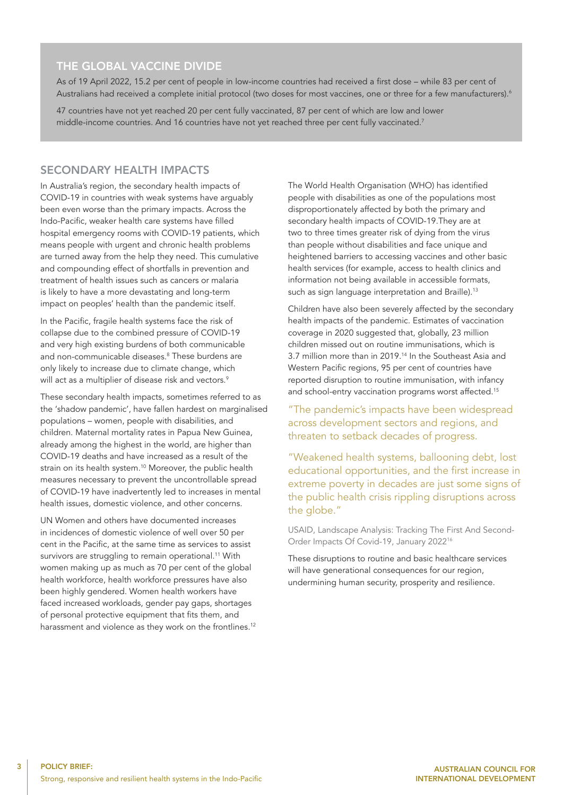#### THE GLOBAL VACCINE DIVIDE

As of 19 April 2022, 15.2 per cent of people in low-income countries had received a first dose – while 83 per cent of Australians had received a complete initial protocol (two doses for most vaccines, one or three for a few manufacturers).<sup>6</sup>

47 countries have not yet reached 20 per cent fully vaccinated, 87 per cent of which are low and lower middle-income countries. And 16 countries have not yet reached three per cent fully vaccinated.<sup>7</sup>

#### SECONDARY HEALTH IMPACTS

In Australia's region, the secondary health impacts of COVID-19 in countries with weak systems have arguably been even worse than the primary impacts. Across the Indo-Pacific, weaker health care systems have filled hospital emergency rooms with COVID-19 patients, which means people with urgent and chronic health problems are turned away from the help they need. This cumulative and compounding effect of shortfalls in prevention and treatment of health issues such as cancers or malaria is likely to have a more devastating and long-term impact on peoples' health than the pandemic itself.

In the Pacific, fragile health systems face the risk of collapse due to the combined pressure of COVID-19 and very high existing burdens of both communicable and non-communicable diseases.<sup>8</sup> These burdens are only likely to increase due to climate change, which will act as a multiplier of disease risk and vectors.<sup>9</sup>

These secondary health impacts, sometimes referred to as the 'shadow pandemic', have fallen hardest on marginalised populations – women, people with disabilities, and children. Maternal mortality rates in Papua New Guinea, already among the highest in the world, are higher than COVID-19 deaths and have increased as a result of the strain on its health system.<sup>10</sup> Moreover, the public health measures necessary to prevent the uncontrollable spread of COVID-19 have inadvertently led to increases in mental health issues, domestic violence, and other concerns.

UN Women and others have documented increases in incidences of domestic violence of well over 50 per cent in the Pacific, at the same time as services to assist survivors are struggling to remain operational.<sup>11</sup> With women making up as much as 70 per cent of the global health workforce, health workforce pressures have also been highly gendered. Women health workers have faced increased workloads, gender pay gaps, shortages of personal protective equipment that fits them, and harassment and violence as they work on the frontlines.<sup>12</sup>

The World Health Organisation (WHO) has identified people with disabilities as one of the populations most disproportionately affected by both the primary and secondary health impacts of COVID-19.They are at two to three times greater risk of dying from the virus than people without disabilities and face unique and heightened barriers to accessing vaccines and other basic health services (for example, access to health clinics and information not being available in accessible formats, such as sign language interpretation and Braille).<sup>13</sup>

Children have also been severely affected by the secondary health impacts of the pandemic. Estimates of vaccination coverage in 2020 suggested that, globally, 23 million children missed out on routine immunisations, which is 3.7 million more than in 2019.14 In the Southeast Asia and Western Pacific regions, 95 per cent of countries have reported disruption to routine immunisation, with infancy and school-entry vaccination programs worst affected.<sup>15</sup>

"The pandemic's impacts have been widespread across development sectors and regions, and threaten to setback decades of progress.

"Weakened health systems, ballooning debt, lost educational opportunities, and the first increase in extreme poverty in decades are just some signs of the public health crisis rippling disruptions across the globe."

USAID, Landscape Analysis: Tracking The First And Second-Order Impacts Of Covid-19, January 2022<sup>16</sup>

These disruptions to routine and basic healthcare services will have generational consequences for our region, undermining human security, prosperity and resilience.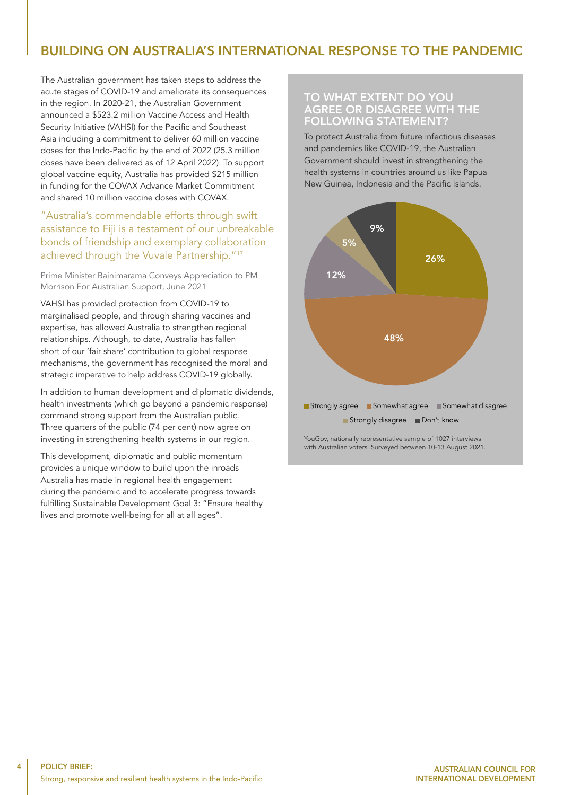# BUILDING ON AUSTRALIA'S INTERNATIONAL RESPONSE TO THE PANDEMIC

The Australian government has taken steps to address the acute stages of COVID-19 and ameliorate its consequences in the region. In 2020-21, the Australian Government announced a \$523.2 million Vaccine Access and Health Security Initiative (VAHSI) for the Pacific and Southeast Asia including a commitment to deliver 60 million vaccine doses for the Indo-Pacific by the end of 2022 (25.3 million doses have been delivered as of 12 April 2022). To support global vaccine equity, Australia has provided \$215 million in funding for the COVAX Advance Market Commitment and shared 10 million vaccine doses with COVAX.

#### "Australia's commendable efforts through swift assistance to Fiji is a testament of our unbreakable bonds of friendship and exemplary collaboration achieved through the Vuvale Partnership."<sup>17</sup>

Prime Minister Bainimarama Conveys Appreciation to PM Morrison For Australian Support, June 2021

VAHSI has provided protection from COVID-19 to marginalised people, and through sharing vaccines and expertise, has allowed Australia to strengthen regional relationships. Although, to date, Australia has fallen short of our 'fair share' contribution to global response mechanisms, the government has recognised the moral and strategic imperative to help address COVID-19 globally.

In addition to human development and diplomatic dividends, health investments (which go beyond a pandemic response) command strong support from the Australian public. Three quarters of the public (74 per cent) now agree on investing in strengthening health systems in our region.

This development, diplomatic and public momentum provides a unique window to build upon the inroads Australia has made in regional health engagement during the pandemic and to accelerate progress towards fulfilling Sustainable Development Goal 3: "Ensure healthy lives and promote well-being for all at all ages".

#### TO WHAT EXTENT DO YOU AGREE OR DISAGREE WITH THE FOLLOWING STATEMENT?

To protect Australia from future infectious diseases and pandemics like COVID-19, the Australian Government should invest in strengthening the health systems in countries around us like Papua New Guinea, Indonesia and the Pacific Islands.



YouGov, nationally representative sample of 1027 interviews with Australian voters. Surveyed between 10-13 August 2021.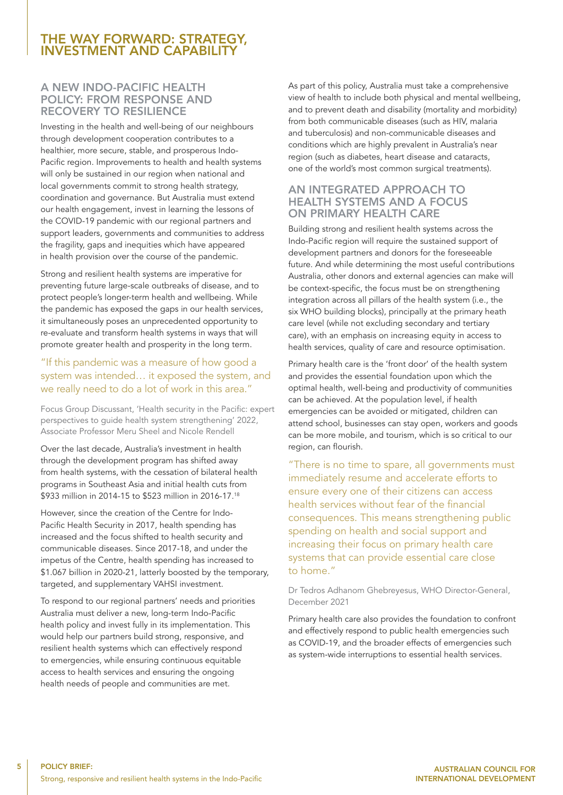### THE WAY FORWARD: STRATEGY, INVESTMENT AND CAPABILITY

#### A NEW INDO-PACIFIC HEALTH POLICY: FROM RESPONSE AND RECOVERY TO RESILIENCE

Investing in the health and well-being of our neighbours through development cooperation contributes to a healthier, more secure, stable, and prosperous Indo-Pacific region. Improvements to health and health systems will only be sustained in our region when national and local governments commit to strong health strategy, coordination and governance. But Australia must extend our health engagement, invest in learning the lessons of the COVID-19 pandemic with our regional partners and support leaders, governments and communities to address the fragility, gaps and inequities which have appeared in health provision over the course of the pandemic.

Strong and resilient health systems are imperative for preventing future large-scale outbreaks of disease, and to protect people's longer-term health and wellbeing. While the pandemic has exposed the gaps in our health services, it simultaneously poses an unprecedented opportunity to re-evaluate and transform health systems in ways that will promote greater health and prosperity in the long term.

#### "If this pandemic was a measure of how good a system was intended… it exposed the system, and we really need to do a lot of work in this area."

Focus Group Discussant, 'Health security in the Pacific: expert perspectives to guide health system strengthening' 2022, Associate Professor Meru Sheel and Nicole Rendell

Over the last decade, Australia's investment in health through the development program has shifted away from health systems, with the cessation of bilateral health programs in Southeast Asia and initial health cuts from \$933 million in 2014-15 to \$523 million in 2016-17.<sup>18</sup>

However, since the creation of the Centre for Indo-Pacific Health Security in 2017, health spending has increased and the focus shifted to health security and communicable diseases. Since 2017-18, and under the impetus of the Centre, health spending has increased to \$1.067 billion in 2020-21, latterly boosted by the temporary, targeted, and supplementary VAHSI investment.

To respond to our regional partners' needs and priorities Australia must deliver a new, long-term Indo-Pacific health policy and invest fully in its implementation. This would help our partners build strong, responsive, and resilient health systems which can effectively respond to emergencies, while ensuring continuous equitable access to health services and ensuring the ongoing health needs of people and communities are met.

As part of this policy, Australia must take a comprehensive view of health to include both physical and mental wellbeing, and to prevent death and disability (mortality and morbidity) from both communicable diseases (such as HIV, malaria and tuberculosis) and non-communicable diseases and conditions which are highly prevalent in Australia's near region (such as diabetes, heart disease and cataracts, one of the world's most common surgical treatments).

#### AN INTEGRATED APPROACH TO HEALTH SYSTEMS AND A FOCUS ON PRIMARY HEALTH CARE

Building strong and resilient health systems across the Indo-Pacific region will require the sustained support of development partners and donors for the foreseeable future. And while determining the most useful contributions Australia, other donors and external agencies can make will be context-specific, the focus must be on strengthening integration across all pillars of the health system (i.e., the six WHO building blocks), principally at the primary heath care level (while not excluding secondary and tertiary care), with an emphasis on increasing equity in access to health services, quality of care and resource optimisation.

Primary health care is the 'front door' of the health system and provides the essential foundation upon which the optimal health, well-being and productivity of communities can be achieved. At the population level, if health emergencies can be avoided or mitigated, children can attend school, businesses can stay open, workers and goods can be more mobile, and tourism, which is so critical to our region, can flourish.

"There is no time to spare, all governments must immediately resume and accelerate efforts to ensure every one of their citizens can access health services without fear of the financial consequences. This means strengthening public spending on health and social support and increasing their focus on primary health care systems that can provide essential care close to home."

Dr Tedros Adhanom Ghebreyesus, WHO Director-General, December 2021

Primary health care also provides the foundation to confront and effectively respond to public health emergencies such as COVID-19, and the broader effects of emergencies such as system-wide interruptions to essential health services.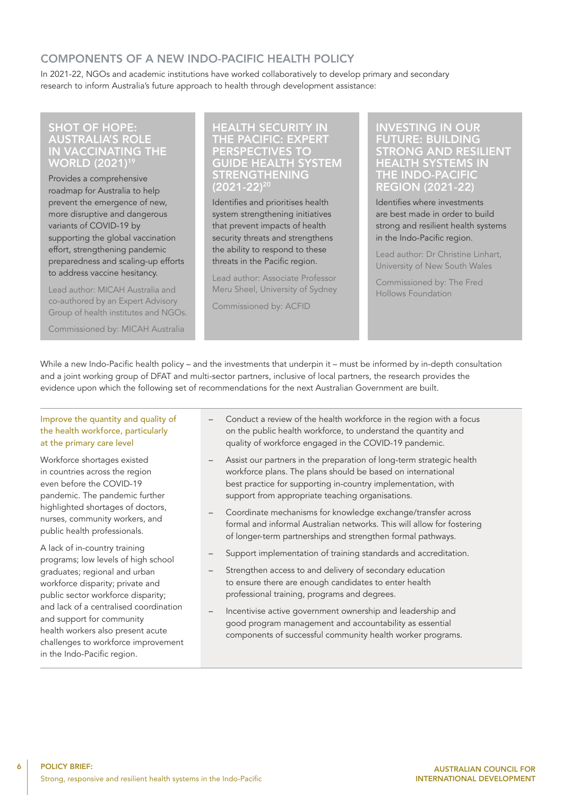### COMPONENTS OF A NEW INDO-PACIFIC HEALTH POLICY

In 2021-22, NGOs and academic institutions have worked collaboratively to develop primary and secondary research to inform Australia's future approach to health through development assistance:

#### SHOT OF HOPE: AUSTRALIA'S ROLE IN VACCINATING THE WORLD (2021)19

Provides a comprehensive roadmap for Australia to help prevent the emergence of new, more disruptive and dangerous variants of COVID-19 by supporting the global vaccination effort, strengthening pandemic preparedness and scaling-up efforts to address vaccine hesitancy.

Lead author: MICAH Australia and co-authored by an Expert Advisory Group of health institutes and NGOs.

Commissioned by: MICAH Australia

#### HEALTH SECURITY IN THE PACIFIC: EXPERT PERSPECTIVES TO GUIDE HEALTH SYSTEM STRENGTHENING  $(2021 - 22)^2$

Identifies and prioritises health system strengthening initiatives that prevent impacts of health security threats and strengthens the ability to respond to these threats in the Pacific region.

Lead author: Associate Professor Meru Sheel, University of Sydney

Commissioned by: ACFID

#### INVESTING IN OUR FUTURE: BUILDING STRONG AND RESILIENT HEALTH SYSTEMS IN THE INDO-PACIFIC REGION (2021-22)

Identifies where investments are best made in order to build strong and resilient health systems in the Indo-Pacific region.

Lead author: Dr Christine Linhart, University of New South Wales

Commissioned by: The Fred Hollows Foundation

While a new Indo-Pacific health policy – and the investments that underpin it – must be informed by in-depth consultation and a joint working group of DFAT and multi-sector partners, inclusive of local partners, the research provides the evidence upon which the following set of recommendations for the next Australian Government are built.

#### Improve the quantity and quality of the health workforce, particularly at the primary care level

Workforce shortages existed in countries across the region even before the COVID-19 pandemic. The pandemic further highlighted shortages of doctors, nurses, community workers, and public health professionals.

A lack of in-country training programs; low levels of high school graduates; regional and urban workforce disparity; private and public sector workforce disparity; and lack of a centralised coordination and support for community health workers also present acute challenges to workforce improvement in the Indo-Pacific region.

- Conduct a review of the health workforce in the region with a focus on the public health workforce, to understand the quantity and quality of workforce engaged in the COVID-19 pandemic.
- Assist our partners in the preparation of long-term strategic health workforce plans. The plans should be based on international best practice for supporting in-country implementation, with support from appropriate teaching organisations.
- Coordinate mechanisms for knowledge exchange/transfer across formal and informal Australian networks. This will allow for fostering of longer-term partnerships and strengthen formal pathways.
- Support implementation of training standards and accreditation.
- Strengthen access to and delivery of secondary education to ensure there are enough candidates to enter health professional training, programs and degrees.
- Incentivise active government ownership and leadership and good program management and accountability as essential components of successful community health worker programs.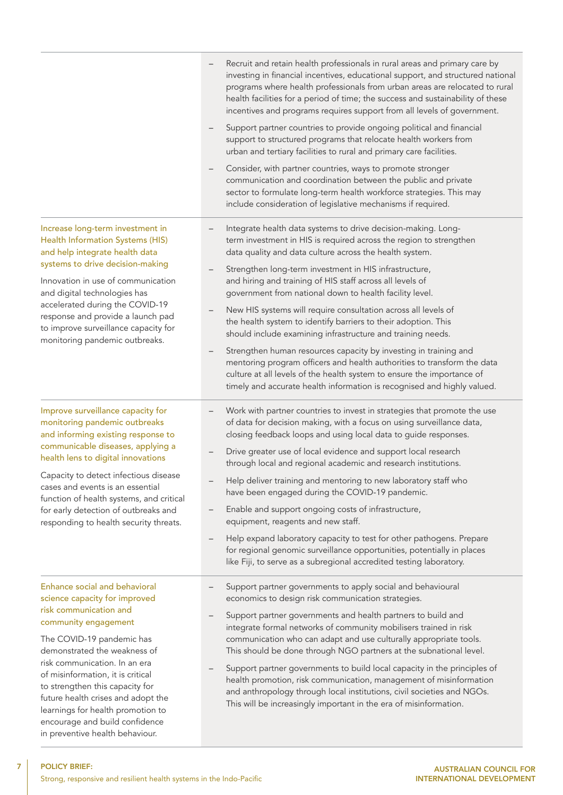|                                                                                                                                                                                                                                                                                                                                                                                                                                        | Recruit and retain health professionals in rural areas and primary care by<br>investing in financial incentives, educational support, and structured national<br>programs where health professionals from urban areas are relocated to rural<br>health facilities for a period of time; the success and sustainability of these<br>incentives and programs requires support from all levels of government.<br>Support partner countries to provide ongoing political and financial<br>support to structured programs that relocate health workers from<br>urban and tertiary facilities to rural and primary care facilities.                                                                                                                                                                                                                                                                |
|----------------------------------------------------------------------------------------------------------------------------------------------------------------------------------------------------------------------------------------------------------------------------------------------------------------------------------------------------------------------------------------------------------------------------------------|----------------------------------------------------------------------------------------------------------------------------------------------------------------------------------------------------------------------------------------------------------------------------------------------------------------------------------------------------------------------------------------------------------------------------------------------------------------------------------------------------------------------------------------------------------------------------------------------------------------------------------------------------------------------------------------------------------------------------------------------------------------------------------------------------------------------------------------------------------------------------------------------|
|                                                                                                                                                                                                                                                                                                                                                                                                                                        | Consider, with partner countries, ways to promote stronger<br>communication and coordination between the public and private<br>sector to formulate long-term health workforce strategies. This may<br>include consideration of legislative mechanisms if required.                                                                                                                                                                                                                                                                                                                                                                                                                                                                                                                                                                                                                           |
| Increase long-term investment in<br><b>Health Information Systems (HIS)</b><br>and help integrate health data<br>systems to drive decision-making<br>Innovation in use of communication<br>and digital technologies has<br>accelerated during the COVID-19<br>response and provide a launch pad<br>to improve surveillance capacity for<br>monitoring pandemic outbreaks.                                                              | Integrate health data systems to drive decision-making. Long-<br>term investment in HIS is required across the region to strengthen<br>data quality and data culture across the health system.<br>Strengthen long-term investment in HIS infrastructure,<br>and hiring and training of HIS staff across all levels of<br>government from national down to health facility level.<br>New HIS systems will require consultation across all levels of<br>the health system to identify barriers to their adoption. This<br>should include examining infrastructure and training needs.<br>Strengthen human resources capacity by investing in training and<br>—<br>mentoring program officers and health authorities to transform the data<br>culture at all levels of the health system to ensure the importance of<br>timely and accurate health information is recognised and highly valued. |
| Improve surveillance capacity for<br>monitoring pandemic outbreaks<br>and informing existing response to<br>communicable diseases, applying a<br>health lens to digital innovations<br>Capacity to detect infectious disease<br>cases and events is an essential<br>function of health systems, and critical<br>for early detection of outbreaks and<br>responding to health security threats.                                         | Work with partner countries to invest in strategies that promote the use<br>of data for decision making, with a focus on using surveillance data,<br>closing feedback loops and using local data to guide responses.<br>Drive greater use of local evidence and support local research<br>through local and regional academic and research institutions.<br>Help deliver training and mentoring to new laboratory staff who<br>have been engaged during the COVID-19 pandemic.<br>Enable and support ongoing costs of infrastructure,<br>$\qquad \qquad -$<br>equipment, reagents and new staff.<br>Help expand laboratory capacity to test for other pathogens. Prepare<br>$\qquad \qquad -$<br>for regional genomic surveillance opportunities, potentially in places<br>like Fiji, to serve as a subregional accredited testing laboratory.                                               |
| Enhance social and behavioral<br>science capacity for improved<br>risk communication and<br>community engagement<br>The COVID-19 pandemic has<br>demonstrated the weakness of<br>risk communication. In an era<br>of misinformation, it is critical<br>to strengthen this capacity for<br>future health crises and adopt the<br>learnings for health promotion to<br>encourage and build confidence<br>in preventive health behaviour. | Support partner governments to apply social and behavioural<br>economics to design risk communication strategies.<br>Support partner governments and health partners to build and<br>integrate formal networks of community mobilisers trained in risk<br>communication who can adapt and use culturally appropriate tools.<br>This should be done through NGO partners at the subnational level.<br>Support partner governments to build local capacity in the principles of<br>$\qquad \qquad -$<br>health promotion, risk communication, management of misinformation<br>and anthropology through local institutions, civil societies and NGOs.<br>This will be increasingly important in the era of misinformation.                                                                                                                                                                      |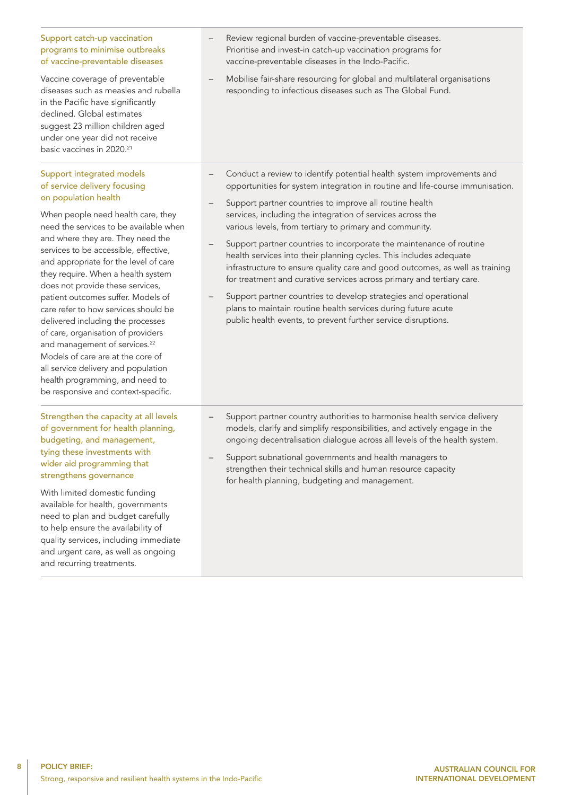#### Support catch-up vaccination programs to minimise outbreaks of vaccine-preventable diseases

Vaccine coverage of preventable diseases such as measles and rubella in the Pacific have significantly declined. Global estimates suggest 23 million children aged under one year did not receive basic vaccines in 2020.<sup>21</sup>

#### Support integrated models of service delivery focusing on population health

When people need health care, they need the services to be available when and where they are. They need the services to be accessible, effective, and appropriate for the level of care they require. When a health system does not provide these services, patient outcomes suffer. Models of care refer to how services should be delivered including the processes of care, organisation of providers and management of services.<sup>22</sup> Models of care are at the core of all service delivery and population health programming, and need to be responsive and context-specific.

#### Strengthen the capacity at all levels of government for health planning, budgeting, and management, tying these investments with wider aid programming that strengthens governance

With limited domestic funding available for health, governments need to plan and budget carefully to help ensure the availability of quality services, including immediate and urgent care, as well as ongoing and recurring treatments.

- Review regional burden of vaccine-preventable diseases. Prioritise and invest-in catch-up vaccination programs for vaccine-preventable diseases in the Indo-Pacific.
- Mobilise fair-share resourcing for global and multilateral organisations responding to infectious diseases such as The Global Fund.
- Conduct a review to identify potential health system improvements and opportunities for system integration in routine and life-course immunisation.
- Support partner countries to improve all routine health services, including the integration of services across the various levels, from tertiary to primary and community.
- Support partner countries to incorporate the maintenance of routine health services into their planning cycles. This includes adequate infrastructure to ensure quality care and good outcomes, as well as training for treatment and curative services across primary and tertiary care.
- Support partner countries to develop strategies and operational plans to maintain routine health services during future acute public health events, to prevent further service disruptions.

- Support partner country authorities to harmonise health service delivery models, clarify and simplify responsibilities, and actively engage in the ongoing decentralisation dialogue across all levels of the health system.
- Support subnational governments and health managers to strengthen their technical skills and human resource capacity for health planning, budgeting and management.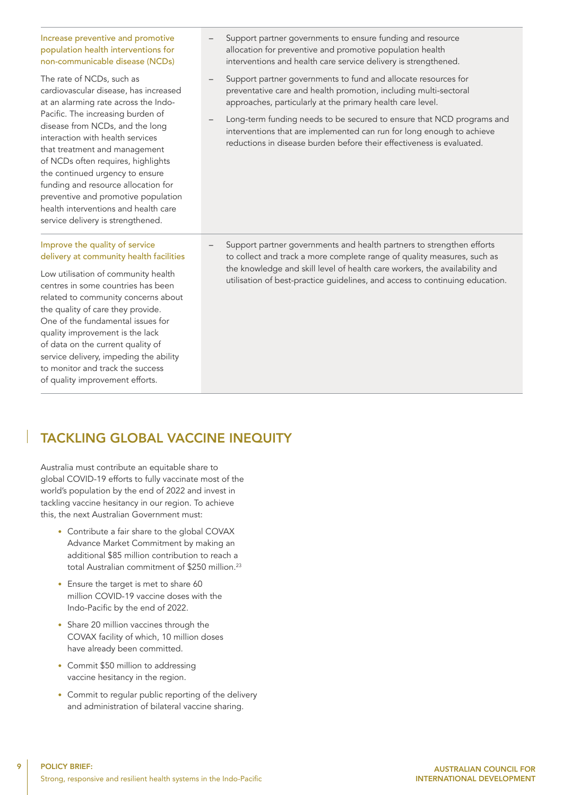#### Increase preventive and promotive population health interventions for non-communicable disease (NCDs)

The rate of NCDs, such as cardiovascular disease, has increased at an alarming rate across the Indo-Pacific. The increasing burden of disease from NCDs, and the long interaction with health services that treatment and management of NCDs often requires, highlights the continued urgency to ensure funding and resource allocation for preventive and promotive population health interventions and health care service delivery is strengthened.

#### Improve the quality of service delivery at community health facilities

Low utilisation of community health centres in some countries has been related to community concerns about the quality of care they provide. One of the fundamental issues for quality improvement is the lack of data on the current quality of service delivery, impeding the ability to monitor and track the success of quality improvement efforts.

- Support partner governments to ensure funding and resource allocation for preventive and promotive population health interventions and health care service delivery is strengthened.
- Support partner governments to fund and allocate resources for preventative care and health promotion, including multi-sectoral approaches, particularly at the primary health care level.
- Long-term funding needs to be secured to ensure that NCD programs and interventions that are implemented can run for long enough to achieve reductions in disease burden before their effectiveness is evaluated.

– Support partner governments and health partners to strengthen efforts to collect and track a more complete range of quality measures, such as the knowledge and skill level of health care workers, the availability and utilisation of best-practice guidelines, and access to continuing education.

# TACKLING GLOBAL VACCINE INEQUITY

Australia must contribute an equitable share to global COVID-19 efforts to fully vaccinate most of the world's population by the end of 2022 and invest in tackling vaccine hesitancy in our region. To achieve this, the next Australian Government must:

- Contribute a fair share to the global COVAX Advance Market Commitment by making an additional \$85 million contribution to reach a total Australian commitment of \$250 million.<sup>23</sup>
- Ensure the target is met to share 60 million COVID-19 vaccine doses with the Indo-Pacific by the end of 2022.
- Share 20 million vaccines through the COVAX facility of which, 10 million doses have already been committed.
- Commit \$50 million to addressing vaccine hesitancy in the region.
- Commit to regular public reporting of the delivery and administration of bilateral vaccine sharing.

q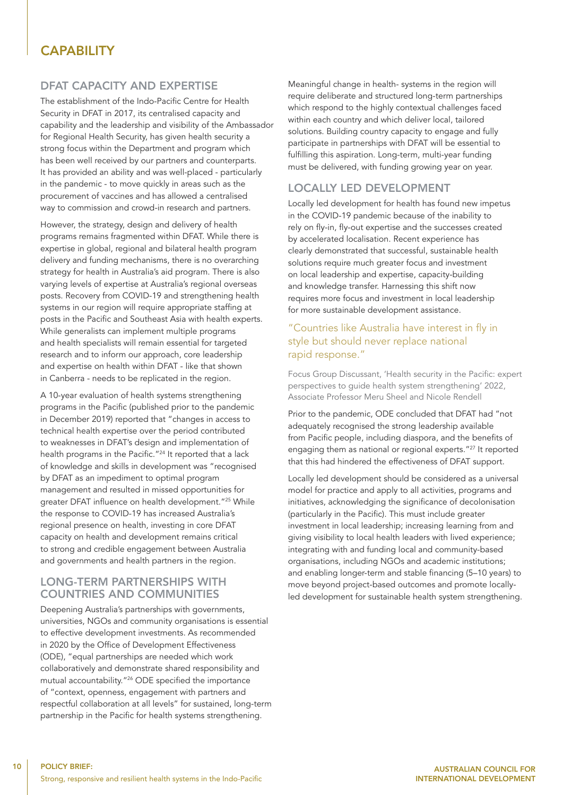### CAPABILITY

#### DFAT CAPACITY AND EXPERTISE

The establishment of the Indo-Pacific Centre for Health Security in DFAT in 2017, its centralised capacity and capability and the leadership and visibility of the Ambassador for Regional Health Security, has given health security a strong focus within the Department and program which has been well received by our partners and counterparts. It has provided an ability and was well-placed - particularly in the pandemic - to move quickly in areas such as the procurement of vaccines and has allowed a centralised way to commission and crowd-in research and partners.

However, the strategy, design and delivery of health programs remains fragmented within DFAT. While there is expertise in global, regional and bilateral health program delivery and funding mechanisms, there is no overarching strategy for health in Australia's aid program. There is also varying levels of expertise at Australia's regional overseas posts. Recovery from COVID-19 and strengthening health systems in our region will require appropriate staffing at posts in the Pacific and Southeast Asia with health experts. While generalists can implement multiple programs and health specialists will remain essential for targeted research and to inform our approach, core leadership and expertise on health within DFAT - like that shown in Canberra - needs to be replicated in the region.

A 10-year evaluation of health systems strengthening programs in the Pacific (published prior to the pandemic in December 2019) reported that "changes in access to technical health expertise over the period contributed to weaknesses in DFAT's design and implementation of health programs in the Pacific."24 It reported that a lack of knowledge and skills in development was "recognised by DFAT as an impediment to optimal program management and resulted in missed opportunities for greater DFAT influence on health development."<sup>25</sup> While the response to COVID-19 has increased Australia's regional presence on health, investing in core DFAT capacity on health and development remains critical to strong and credible engagement between Australia and governments and health partners in the region.

#### LONG-TERM PARTNERSHIPS WITH COUNTRIES AND COMMUNITIES

Deepening Australia's partnerships with governments, universities, NGOs and community organisations is essential to effective development investments. As recommended in 2020 by the Office of Development Effectiveness (ODE), "equal partnerships are needed which work collaboratively and demonstrate shared responsibility and mutual accountability."<sup>26</sup> ODE specified the importance of "context, openness, engagement with partners and respectful collaboration at all levels" for sustained, long-term partnership in the Pacific for health systems strengthening.

Meaningful change in health- systems in the region will require deliberate and structured long-term partnerships which respond to the highly contextual challenges faced within each country and which deliver local, tailored solutions. Building country capacity to engage and fully participate in partnerships with DFAT will be essential to fulfilling this aspiration. Long-term, multi-year funding must be delivered, with funding growing year on year.

#### LOCALLY LED DEVELOPMENT

Locally led development for health has found new impetus in the COVID-19 pandemic because of the inability to rely on fly-in, fly-out expertise and the successes created by accelerated localisation. Recent experience has clearly demonstrated that successful, sustainable health solutions require much greater focus and investment on local leadership and expertise, capacity-building and knowledge transfer. Harnessing this shift now requires more focus and investment in local leadership for more sustainable development assistance.

#### "Countries like Australia have interest in fly in style but should never replace national rapid response."

Focus Group Discussant, 'Health security in the Pacific: expert perspectives to guide health system strengthening' 2022, Associate Professor Meru Sheel and Nicole Rendell

Prior to the pandemic, ODE concluded that DFAT had "not adequately recognised the strong leadership available from Pacific people, including diaspora, and the benefits of engaging them as national or regional experts."27 It reported that this had hindered the effectiveness of DFAT support.

Locally led development should be considered as a universal model for practice and apply to all activities, programs and initiatives, acknowledging the significance of decolonisation (particularly in the Pacific). This must include greater investment in local leadership; increasing learning from and giving visibility to local health leaders with lived experience; integrating with and funding local and community-based organisations, including NGOs and academic institutions; and enabling longer-term and stable financing (5–10 years) to move beyond project-based outcomes and promote locallyled development for sustainable health system strengthening.